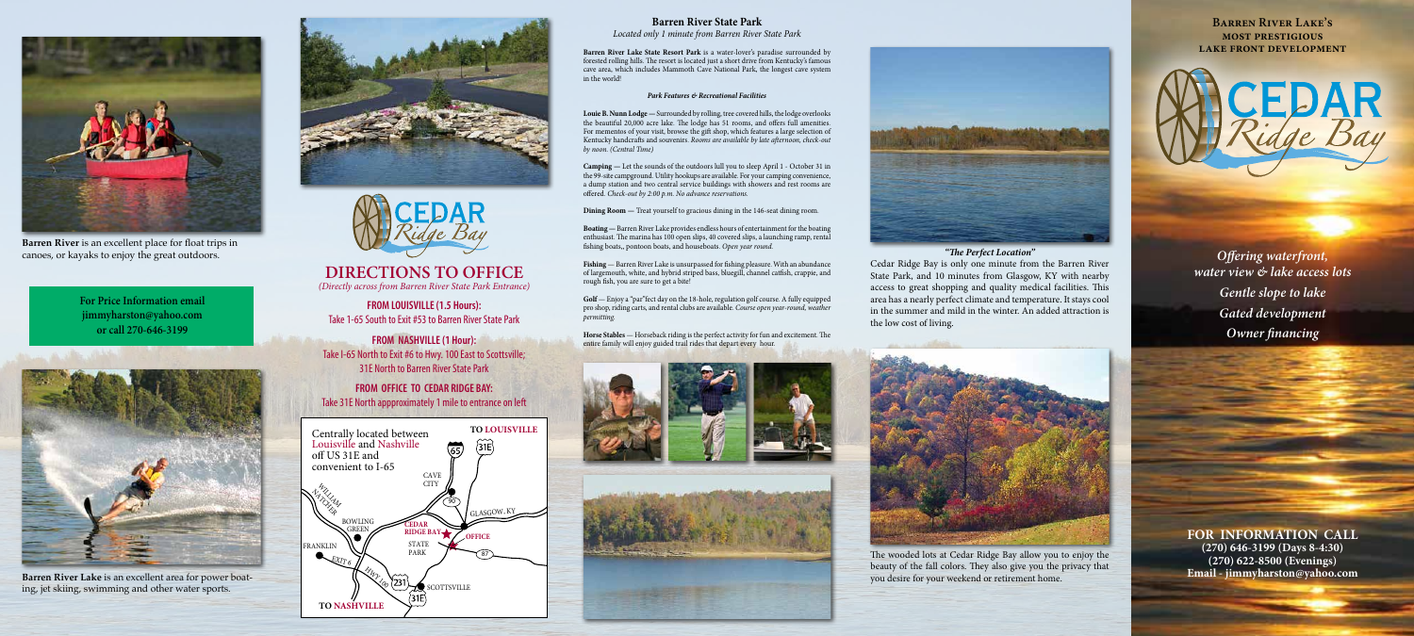**FOR INFORMATION CALL (270) 646-3199 (Days 8-4:30) (270) 622-8500 (Evenings)**



**Barren River Lake** is an excellent area for power boating, jet skiing, swimming and other water sports.







**Barren River** is an excellent place for float trips in canoes, or kayaks to enjoy the great outdoors.

**For Price Information email jimmyharston@yahoo.com or call 270-646-3199**

# **DIRECTIONS TO OFFICE**

*(Directly across from Barren River State Park Entrance)*

**FROM LOUISVILLE (1.5 Hours):** Take 1-65 South to Exit #53 to Barren River State Park

**FROM NASHVILLE (1 Hour):** Take I-65 North to Exit #6 to Hwy. 100 East to Scottsville; 31E North to Barren River State Park

**FROM OFFICE TO CEDAR RIDGE BAY:** Take 31E North appproximately 1 mile to entrance on left



## **Barren River State Park**

*Located only 1 minute from Barren River State Park*

**Barren River Lake State Resort Park** is a water-lover's paradise surrounded by forested rolling hills. The resort is located just a short drive from Kentucky's famous cave area, which includes Mammoth Cave National Park, the longest cave system in the world!

#### *Park Features & Recreational Facilities*

**Louie B. Nunn Lodge —** Surrounded by rolling, tree covered hills, the lodge overlooks the beautiful 20,000 acre lake. The lodge has 51 rooms, and offers full amenities. For mementos of your visit, browse the gift shop, which features a large selection of Kentucky handcrafts and souvenirs. *Rooms are available by late afternoon, check-out by noon. (Central Time)*

**Camping —** Let the sounds of the outdoors lull you to sleep April 1 - October 31 in the 99-site campground. Utility hookups are available. For your camping convenience, a dump station and two central service buildings with showers and rest rooms are offered. *Check-out by 2:00 p.m. No advance reservations.*

**Dining Room —** Treat yourself to gracious dining in the 146-seat dining room.

**Boating —** Barren River Lake provides endless hours of entertainment for the boating enthusiast. The marina has 100 open slips, 40 covered slips, a launching ramp, rental fishing boats,, pontoon boats, and houseboats. *Open year round.*

**Fishing** — Barren River Lake is unsurpassed for fishing pleasure. With an abundance of largemouth, white, and hybrid striped bass, bluegill, channel catfish, crappie, and rough fish, you are sure to get a bite!

**Golf** — Enjoy a "par"fect day on the 18-hole, regulation golf course. A fully equipped pro shop, riding carts, and rental clubs are available. *Course open year-round, weather permitting.*

**Horse Stables** — Horseback riding is the perfect activity for fun and excitement. The entire family will enjoy guided trail rides that depart every hour.





### *"The Perfect Location"*



Cedar Ridge Bay is only one minute from the Barren River State Park, and 10 minutes from Glasgow, KY with nearby access to great shopping and quality medical facilities. This area has a nearly perfect climate and temperature. It stays cool in the summer and mild in the winter. An added attraction is the low cost of living.



The wooded lots at Cedar Ridge Bay allow you to enjoy the beauty of the fall colors. They also give you the privacy that you desire for your weekend or retirement home.

**Barren River Lake's most prestigious lake front development**



*Offering waterfront, water view & lake access lots Gentle slope to lake Gated development Owner financing*